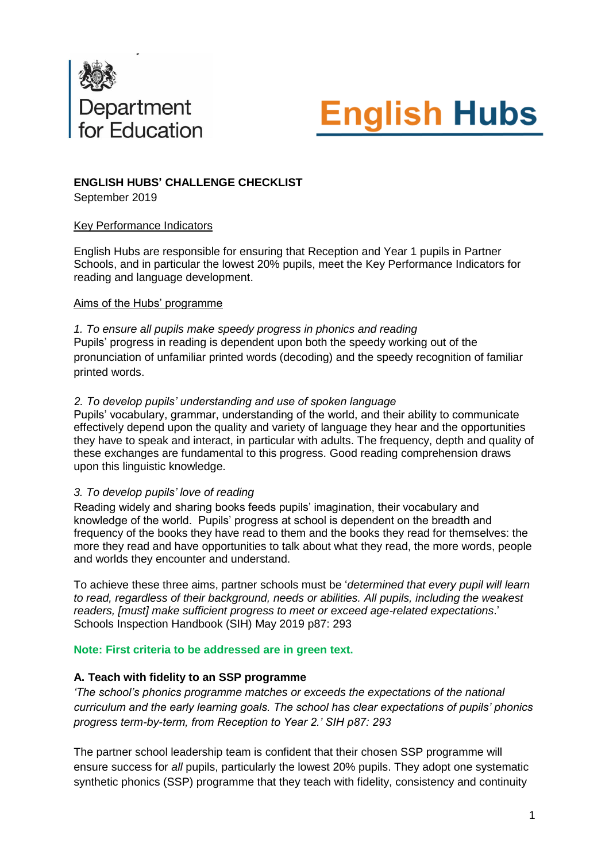



### **ENGLISH HUBS' CHALLENGE CHECKLIST**

September 2019

### Key Performance Indicators

English Hubs are responsible for ensuring that Reception and Year 1 pupils in Partner Schools, and in particular the lowest 20% pupils, meet the Key Performance Indicators for reading and language development.

### Aims of the Hubs' programme

*1. To ensure all pupils make speedy progress in phonics and reading* Pupils' progress in reading is dependent upon both the speedy working out of the pronunciation of unfamiliar printed words (decoding) and the speedy recognition of familiar printed words.

### *2. To develop pupils' understanding and use of spoken language*

Pupils' vocabulary, grammar, understanding of the world, and their ability to communicate effectively depend upon the quality and variety of language they hear and the opportunities they have to speak and interact, in particular with adults. The frequency, depth and quality of these exchanges are fundamental to this progress. Good reading comprehension draws upon this linguistic knowledge.

### *3. To develop pupils' love of reading*

Reading widely and sharing books feeds pupils' imagination, their vocabulary and knowledge of the world. Pupils' progress at school is dependent on the breadth and frequency of the books they have read to them and the books they read for themselves: the more they read and have opportunities to talk about what they read, the more words, people and worlds they encounter and understand.

To achieve these three aims, partner schools must be '*determined that every pupil will learn to read, regardless of their background, needs or abilities. All pupils, including the weakest readers, [must] make sufficient progress to meet or exceed age-related expectations*.' Schools Inspection Handbook (SIH) May 2019 p87: 293

#### **Note: First criteria to be addressed are in green text.**

### **A. Teach with fidelity to an SSP programme**

*'The school's phonics programme matches or exceeds the expectations of the national curriculum and the early learning goals. The school has clear expectations of pupils' phonics progress term-by-term, from Reception to Year 2.' SIH p87: 293*

The partner school leadership team is confident that their chosen SSP programme will ensure success for *all* pupils, particularly the lowest 20% pupils. They adopt one systematic synthetic phonics (SSP) programme that they teach with fidelity, consistency and continuity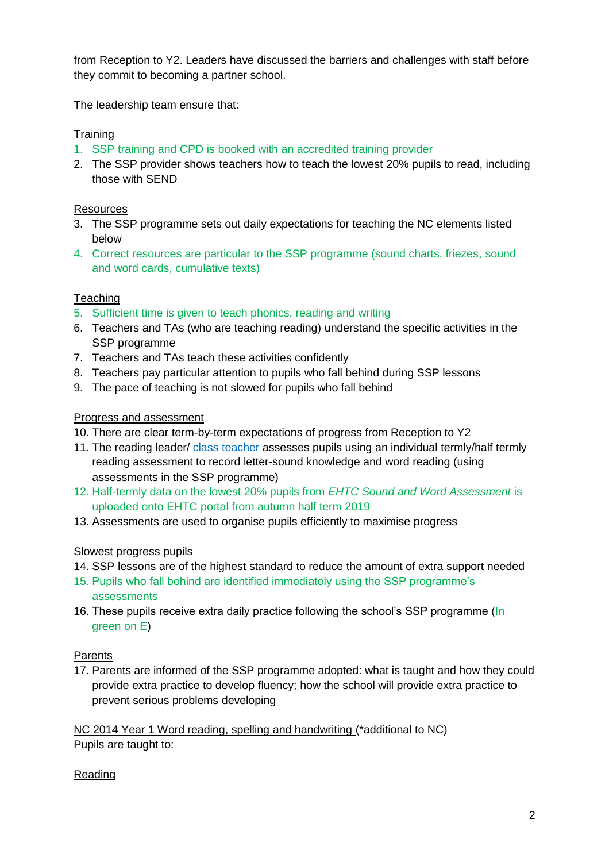from Reception to Y2. Leaders have discussed the barriers and challenges with staff before they commit to becoming a partner school.

The leadership team ensure that:

# **Training**

- 1. SSP training and CPD is booked with an accredited training provider
- 2. The SSP provider shows teachers how to teach the lowest 20% pupils to read, including those with SEND

# **Resources**

- 3. The SSP programme sets out daily expectations for teaching the NC elements listed below
- 4. Correct resources are particular to the SSP programme (sound charts, friezes, sound and word cards, cumulative texts)

# **Teaching**

- 5. Sufficient time is given to teach phonics, reading and writing
- 6. Teachers and TAs (who are teaching reading) understand the specific activities in the SSP programme
- 7. Teachers and TAs teach these activities confidently
- 8. Teachers pay particular attention to pupils who fall behind during SSP lessons
- 9. The pace of teaching is not slowed for pupils who fall behind

# Progress and assessment

- 10. There are clear term-by-term expectations of progress from Reception to Y2
- 11. The reading leader/ class teacher assesses pupils using an individual termly/half termly reading assessment to record letter-sound knowledge and word reading (using assessments in the SSP programme)
- 12. Half-termly data on the lowest 20% pupils from *EHTC Sound and Word Assessment* is uploaded onto EHTC portal from autumn half term 2019
- 13. Assessments are used to organise pupils efficiently to maximise progress

### Slowest progress pupils

- 14. SSP lessons are of the highest standard to reduce the amount of extra support needed
- 15. Pupils who fall behind are identified immediately using the SSP programme's assessments
- 16. These pupils receive extra daily practice following the school's SSP programme (In green on E)

# Parents

17. Parents are informed of the SSP programme adopted: what is taught and how they could provide extra practice to develop fluency; how the school will provide extra practice to prevent serious problems developing

NC 2014 Year 1 Word reading, spelling and handwriting (\*additional to NC) Pupils are taught to:

### Reading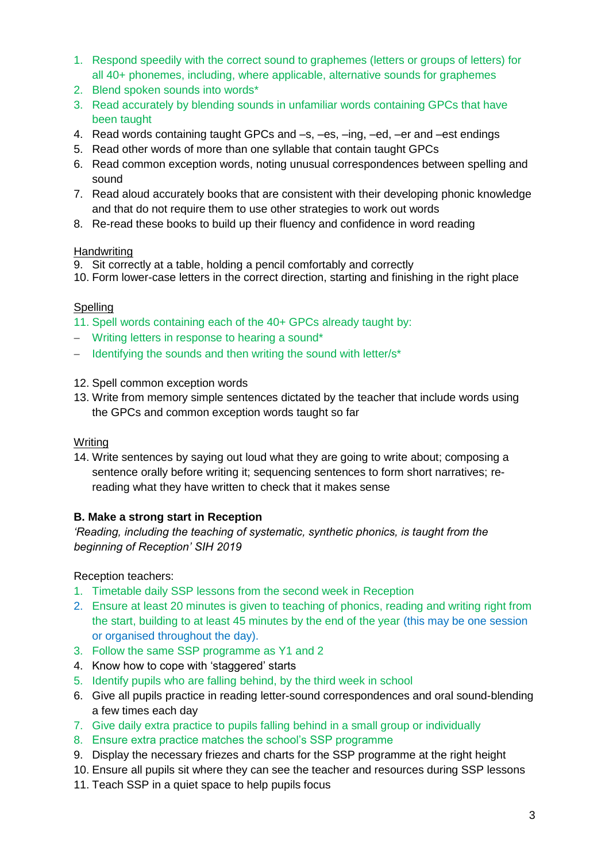- 1. Respond speedily with the correct sound to graphemes (letters or groups of letters) for all 40+ phonemes, including, where applicable, alternative sounds for graphemes
- 2. Blend spoken sounds into words\*
- 3. Read accurately by blending sounds in unfamiliar words containing GPCs that have been taught
- 4. Read words containing taught GPCs and –s, –es, –ing, –ed, –er and –est endings
- 5. Read other words of more than one syllable that contain taught GPCs
- 6. Read common exception words, noting unusual correspondences between spelling and sound
- 7. Read aloud accurately books that are consistent with their developing phonic knowledge and that do not require them to use other strategies to work out words
- 8. Re-read these books to build up their fluency and confidence in word reading

### **Handwriting**

- 9. Sit correctly at a table, holding a pencil comfortably and correctly
- 10. Form lower-case letters in the correct direction, starting and finishing in the right place

### Spelling

- 11. Spell words containing each of the 40+ GPCs already taught by:
- Writing letters in response to hearing a sound\*
- $-$  Identifying the sounds and then writing the sound with letter/s<sup>\*</sup>
- 12. Spell common exception words
- 13. Write from memory simple sentences dictated by the teacher that include words using the GPCs and common exception words taught so far

### **Writing**

14. Write sentences by saying out loud what they are going to write about; composing a sentence orally before writing it; sequencing sentences to form short narratives; rereading what they have written to check that it makes sense

### **B. Make a strong start in Reception**

*'Reading, including the teaching of systematic, synthetic phonics, is taught from the beginning of Reception' SIH 2019*

Reception teachers:

- 1. Timetable daily SSP lessons from the second week in Reception
- 2. Ensure at least 20 minutes is given to teaching of phonics, reading and writing right from the start, building to at least 45 minutes by the end of the year (this may be one session or organised throughout the day).
- 3. Follow the same SSP programme as Y1 and 2
- 4. Know how to cope with 'staggered' starts
- 5. Identify pupils who are falling behind, by the third week in school
- 6. Give all pupils practice in reading letter-sound correspondences and oral sound-blending a few times each day
- 7. Give daily extra practice to pupils falling behind in a small group or individually
- 8. Ensure extra practice matches the school's SSP programme
- 9. Display the necessary friezes and charts for the SSP programme at the right height
- 10. Ensure all pupils sit where they can see the teacher and resources during SSP lessons
- 11. Teach SSP in a quiet space to help pupils focus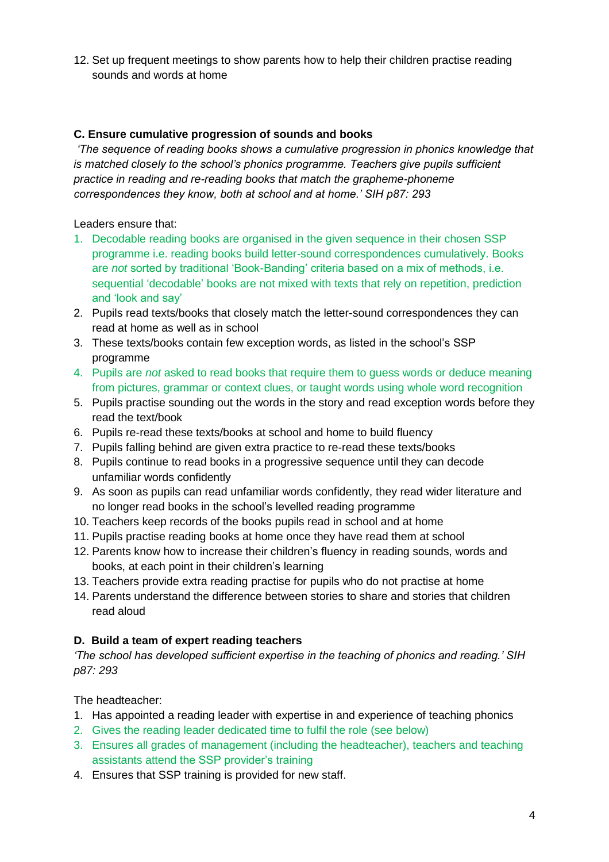12. Set up frequent meetings to show parents how to help their children practise reading sounds and words at home

## **C. Ensure cumulative progression of sounds and books**

*'The sequence of reading books shows a cumulative progression in phonics knowledge that is matched closely to the school's phonics programme. Teachers give pupils sufficient practice in reading and re-reading books that match the grapheme-phoneme correspondences they know, both at school and at home.' SIH p87: 293*

Leaders ensure that:

- 1. Decodable reading books are organised in the given sequence in their chosen SSP programme i.e. reading books build letter-sound correspondences cumulatively. Books are *not* sorted by traditional 'Book-Banding' criteria based on a mix of methods, i.e. sequential 'decodable' books are not mixed with texts that rely on repetition, prediction and 'look and say'
- 2. Pupils read texts/books that closely match the letter-sound correspondences they can read at home as well as in school
- 3. These texts/books contain few exception words, as listed in the school's SSP programme
- 4. Pupils are *not* asked to read books that require them to guess words or deduce meaning from pictures, grammar or context clues, or taught words using whole word recognition
- 5. Pupils practise sounding out the words in the story and read exception words before they read the text/book
- 6. Pupils re-read these texts/books at school and home to build fluency
- 7. Pupils falling behind are given extra practice to re-read these texts/books
- 8. Pupils continue to read books in a progressive sequence until they can decode unfamiliar words confidently
- 9. As soon as pupils can read unfamiliar words confidently, they read wider literature and no longer read books in the school's levelled reading programme
- 10. Teachers keep records of the books pupils read in school and at home
- 11. Pupils practise reading books at home once they have read them at school
- 12. Parents know how to increase their children's fluency in reading sounds, words and books, at each point in their children's learning
- 13. Teachers provide extra reading practise for pupils who do not practise at home
- 14. Parents understand the difference between stories to share and stories that children read aloud

### **D. Build a team of expert reading teachers**

*'The school has developed sufficient expertise in the teaching of phonics and reading.' SIH p87: 293*

The headteacher:

- 1. Has appointed a reading leader with expertise in and experience of teaching phonics
- 2. Gives the reading leader dedicated time to fulfil the role (see below)
- 3. Ensures all grades of management (including the headteacher), teachers and teaching assistants attend the SSP provider's training
- 4. Ensures that SSP training is provided for new staff.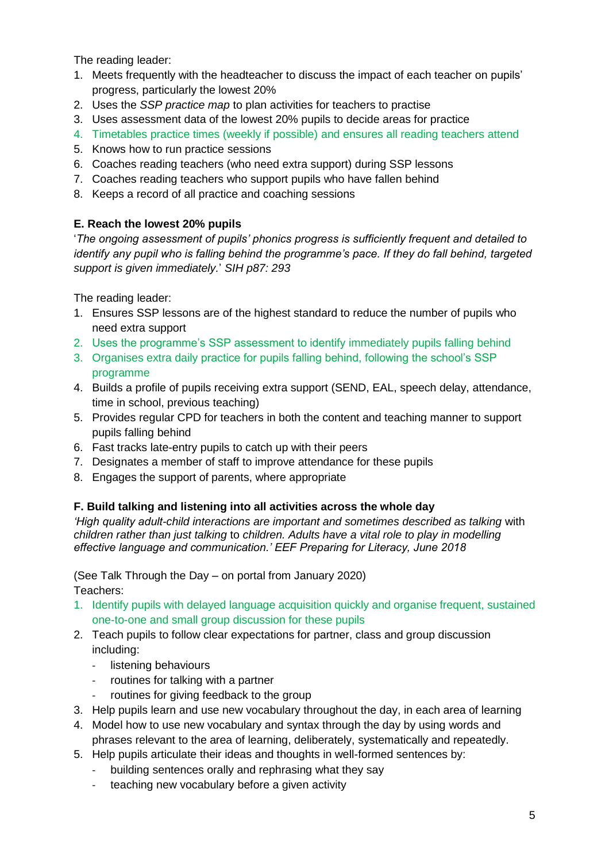The reading leader:

- 1. Meets frequently with the headteacher to discuss the impact of each teacher on pupils' progress, particularly the lowest 20%
- 2. Uses the *SSP practice map* to plan activities for teachers to practise
- 3. Uses assessment data of the lowest 20% pupils to decide areas for practice
- 4. Timetables practice times (weekly if possible) and ensures all reading teachers attend
- 5. Knows how to run practice sessions
- 6. Coaches reading teachers (who need extra support) during SSP lessons
- 7. Coaches reading teachers who support pupils who have fallen behind
- 8. Keeps a record of all practice and coaching sessions

# **E. Reach the lowest 20% pupils**

'*The ongoing assessment of pupils' phonics progress is sufficiently frequent and detailed to identify any pupil who is falling behind the programme's pace. If they do fall behind, targeted support is given immediately.*' *SIH p87: 293*

The reading leader:

- 1. Ensures SSP lessons are of the highest standard to reduce the number of pupils who need extra support
- 2. Uses the programme's SSP assessment to identify immediately pupils falling behind
- 3. Organises extra daily practice for pupils falling behind, following the school's SSP programme
- 4. Builds a profile of pupils receiving extra support (SEND, EAL, speech delay, attendance, time in school, previous teaching)
- 5. Provides regular CPD for teachers in both the content and teaching manner to support pupils falling behind
- 6. Fast tracks late-entry pupils to catch up with their peers
- 7. Designates a member of staff to improve attendance for these pupils
- 8. Engages the support of parents, where appropriate

# **F. Build talking and listening into all activities across the whole day**

*'High quality adult-child interactions are important and sometimes described as talking* with *children rather than just talking* to *children. Adults have a vital role to play in modelling effective language and communication.' EEF Preparing for Literacy, June 2018*

(See Talk Through the Day – on portal from January 2020) Teachers:

- 1. Identify pupils with delayed language acquisition quickly and organise frequent, sustained one-to-one and small group discussion for these pupils
- 2. Teach pupils to follow clear expectations for partner, class and group discussion including:
	- listening behaviours
	- routines for talking with a partner
	- routines for giving feedback to the group
- 3. Help pupils learn and use new vocabulary throughout the day, in each area of learning
- 4. Model how to use new vocabulary and syntax through the day by using words and phrases relevant to the area of learning, deliberately, systematically and repeatedly.
- 5. Help pupils articulate their ideas and thoughts in well-formed sentences by:
	- building sentences orally and rephrasing what they say
	- teaching new vocabulary before a given activity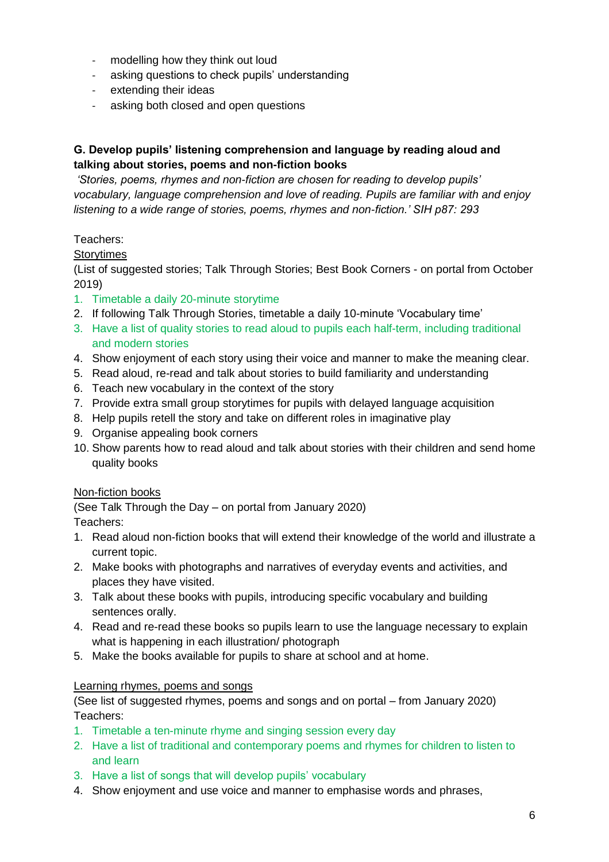- modelling how they think out loud
- asking questions to check pupils' understanding
- extending their ideas
- asking both closed and open questions

# **G. Develop pupils' listening comprehension and language by reading aloud and talking about stories, poems and non-fiction books**

*'Stories, poems, rhymes and non-fiction are chosen for reading to develop pupils' vocabulary, language comprehension and love of reading. Pupils are familiar with and enjoy listening to a wide range of stories, poems, rhymes and non-fiction.' SIH p87: 293*

### Teachers:

### **Storytimes**

(List of suggested stories; Talk Through Stories; Best Book Corners - on portal from October 2019)

- 1. Timetable a daily 20-minute storytime
- 2. If following Talk Through Stories, timetable a daily 10-minute 'Vocabulary time'
- 3. Have a list of quality stories to read aloud to pupils each half-term, including traditional and modern stories
- 4. Show enjoyment of each story using their voice and manner to make the meaning clear.
- 5. Read aloud, re-read and talk about stories to build familiarity and understanding
- 6. Teach new vocabulary in the context of the story
- 7. Provide extra small group storytimes for pupils with delayed language acquisition
- 8. Help pupils retell the story and take on different roles in imaginative play
- 9. Organise appealing book corners
- 10. Show parents how to read aloud and talk about stories with their children and send home quality books

### Non-fiction books

(See Talk Through the Day – on portal from January 2020) Teachers:

- 1. Read aloud non-fiction books that will extend their knowledge of the world and illustrate a current topic.
- 2. Make books with photographs and narratives of everyday events and activities, and places they have visited.
- 3. Talk about these books with pupils, introducing specific vocabulary and building sentences orally.
- 4. Read and re-read these books so pupils learn to use the language necessary to explain what is happening in each illustration/ photograph
- 5. Make the books available for pupils to share at school and at home.

### Learning rhymes, poems and songs

(See list of suggested rhymes, poems and songs and on portal – from January 2020) Teachers:

- 1. Timetable a ten-minute rhyme and singing session every day
- 2. Have a list of traditional and contemporary poems and rhymes for children to listen to and learn
- 3. Have a list of songs that will develop pupils' vocabulary
- 4. Show enjoyment and use voice and manner to emphasise words and phrases,